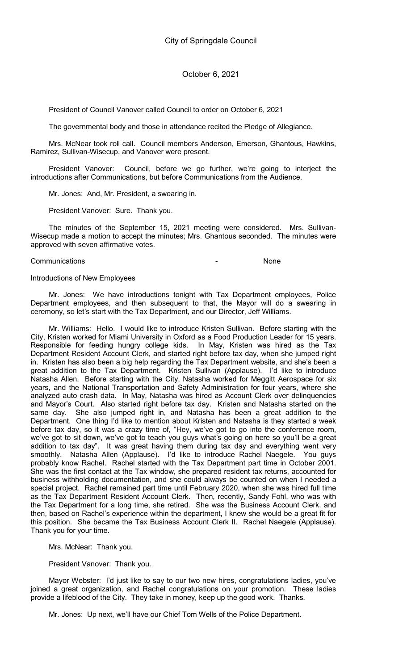President of Council Vanover called Council to order on October 6, 2021

The governmental body and those in attendance recited the Pledge of Allegiance.

Mrs. McNear took roll call. Council members Anderson, Emerson, Ghantous, Hawkins, Ramirez, Sullivan-Wisecup, and Vanover were present.

President Vanover: Council, before we go further, we're going to interject the introductions after Communications, but before Communications from the Audience.

Mr. Jones: And, Mr. President, a swearing in.

President Vanover: Sure. Thank you.

The minutes of the September 15, 2021 meeting were considered. Mrs. Sullivan-Wisecup made a motion to accept the minutes; Mrs. Ghantous seconded. The minutes were approved with seven affirmative votes.

#### Communications - None

#### Introductions of New Employees

Mr. Jones: We have introductions tonight with Tax Department employees, Police Department employees, and then subsequent to that, the Mayor will do a swearing in ceremony, so let's start with the Tax Department, and our Director, Jeff Williams.

Mr. Williams: Hello. I would like to introduce Kristen Sullivan. Before starting with the City, Kristen worked for Miami University in Oxford as a Food Production Leader for 15 years. Responsible for feeding hungry college kids. In May, Kristen was hired as the Tax Department Resident Account Clerk, and started right before tax day, when she jumped right in. Kristen has also been a big help regarding the Tax Department website, and she's been a great addition to the Tax Department. Kristen Sullivan (Applause). I'd like to introduce Natasha Allen. Before starting with the City, Natasha worked for Meggitt Aerospace for six years, and the National Transportation and Safety Administration for four years, where she analyzed auto crash data. In May, Natasha was hired as Account Clerk over delinquencies and Mayor's Court. Also started right before tax day. Kristen and Natasha started on the same day. She also jumped right in, and Natasha has been a great addition to the Department. One thing I'd like to mention about Kristen and Natasha is they started a week before tax day, so it was a crazy time of, "Hey, we've got to go into the conference room, we've got to sit down, we've got to teach you guys what's going on here so you'll be a great addition to tax day". It was great having them during tax day and everything went very smoothly. Natasha Allen (Applause). I'd like to introduce Rachel Naegele. You guys probably know Rachel. Rachel started with the Tax Department part time in October 2001. She was the first contact at the Tax window, she prepared resident tax returns, accounted for business withholding documentation, and she could always be counted on when I needed a special project. Rachel remained part time until February 2020, when she was hired full time as the Tax Department Resident Account Clerk. Then, recently, Sandy Fohl, who was with the Tax Department for a long time, she retired. She was the Business Account Clerk, and then, based on Rachel's experience within the department, I knew she would be a great fit for this position. She became the Tax Business Account Clerk II. Rachel Naegele (Applause). Thank you for your time.

### Mrs. McNear: Thank you.

President Vanover: Thank you.

Mayor Webster: I'd just like to say to our two new hires, congratulations ladies, you've joined a great organization, and Rachel congratulations on your promotion. These ladies provide a lifeblood of the City. They take in money, keep up the good work. Thanks.

Mr. Jones: Up next, we'll have our Chief Tom Wells of the Police Department.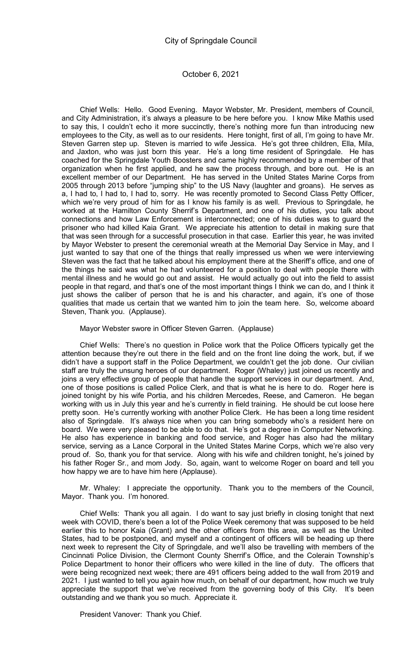Chief Wells: Hello. Good Evening. Mayor Webster, Mr. President, members of Council, and City Administration, it's always a pleasure to be here before you. I know Mike Mathis used to say this, I couldn't echo it more succinctly, there's nothing more fun than introducing new employees to the City, as well as to our residents. Here tonight, first of all, I'm going to have Mr. Steven Garren step up. Steven is married to wife Jessica. He's got three children, Ella, Mila, and Jaxton, who was just born this year. He's a long time resident of Springdale. He has coached for the Springdale Youth Boosters and came highly recommended by a member of that organization when he first applied, and he saw the process through, and bore out. He is an excellent member of our Department. He has served in the United States Marine Corps from 2005 through 2013 before "jumping ship" to the US Navy (laughter and groans). He serves as a, I had to, I had to, I had to, sorry. He was recently promoted to Second Class Petty Officer, which we're very proud of him for as I know his family is as well. Previous to Springdale, he worked at the Hamilton County Sherrif's Department, and one of his duties, you talk about connections and how Law Enforcement is interconnected; one of his duties was to guard the prisoner who had killed Kaia Grant. We appreciate his attention to detail in making sure that that was seen through for a successful prosecution in that case. Earlier this year, he was invited by Mayor Webster to present the ceremonial wreath at the Memorial Day Service in May, and I just wanted to say that one of the things that really impressed us when we were interviewing Steven was the fact that he talked about his employment there at the Sheriff's office, and one of the things he said was what he had volunteered for a position to deal with people there with mental illness and he would go out and assist. He would actually go out into the field to assist people in that regard, and that's one of the most important things I think we can do, and I think it just shows the caliber of person that he is and his character, and again, it's one of those qualities that made us certain that we wanted him to join the team here. So, welcome aboard Steven, Thank you. (Applause).

### Mayor Webster swore in Officer Steven Garren. (Applause)

Chief Wells: There's no question in Police work that the Police Officers typically get the attention because they're out there in the field and on the front line doing the work, but, if we didn't have a support staff in the Police Department, we couldn't get the job done. Our civilian staff are truly the unsung heroes of our department. Roger (Whaley) just joined us recently and joins a very effective group of people that handle the support services in our department. And, one of those positions is called Police Clerk, and that is what he is here to do. Roger here is joined tonight by his wife Portia, and his children Mercedes, Reese, and Cameron. He began working with us in July this year and he's currently in field training. He should be cut loose here pretty soon. He's currently working with another Police Clerk. He has been a long time resident also of Springdale. It's always nice when you can bring somebody who's a resident here on board. We were very pleased to be able to do that. He's got a degree in Computer Networking. He also has experience in banking and food service, and Roger has also had the military service, serving as a Lance Corporal in the United States Marine Corps, which we're also very proud of. So, thank you for that service. Along with his wife and children tonight, he's joined by his father Roger Sr., and mom Jody. So, again, want to welcome Roger on board and tell you how happy we are to have him here (Applause).

Mr. Whaley: I appreciate the opportunity. Thank you to the members of the Council, Mayor. Thank you. I'm honored.

Chief Wells: Thank you all again. I do want to say just briefly in closing tonight that next week with COVID, there's been a lot of the Police Week ceremony that was supposed to be held earlier this to honor Kaia (Grant) and the other officers from this area, as well as the United States, had to be postponed, and myself and a contingent of officers will be heading up there next week to represent the City of Springdale, and we'll also be travelling with members of the Cincinnati Police Division, the Clermont County Sherrif's Office, and the Colerain Township's Police Department to honor their officers who were killed in the line of duty. The officers that were being recognized next week; there are 491 officers being added to the wall from 2019 and 2021. I just wanted to tell you again how much, on behalf of our department, how much we truly appreciate the support that we've received from the governing body of this City. It's been outstanding and we thank you so much. Appreciate it.

President Vanover: Thank you Chief.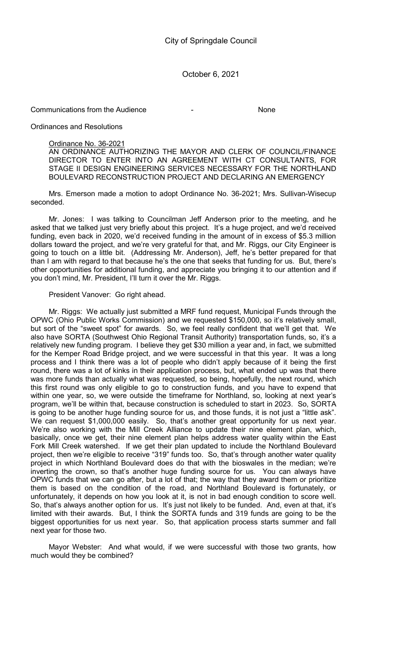Communications from the Audience **- Access 10** - None

Ordinances and Resolutions

### Ordinance No. 36-2021

AN ORDINANCE AUTHORIZING THE MAYOR AND CLERK OF COUNCIL/FINANCE DIRECTOR TO ENTER INTO AN AGREEMENT WITH CT CONSULTANTS, FOR STAGE II DESIGN ENGINEERING SERVICES NECESSARY FOR THE NORTHLAND BOULEVARD RECONSTRUCTION PROJECT AND DECLARING AN EMERGENCY

Mrs. Emerson made a motion to adopt Ordinance No. 36-2021; Mrs. Sullivan-Wisecup seconded.

Mr. Jones: I was talking to Councilman Jeff Anderson prior to the meeting, and he asked that we talked just very briefly about this project. It's a huge project, and we'd received funding, even back in 2020, we'd received funding in the amount of in excess of \$5.3 million dollars toward the project, and we're very grateful for that, and Mr. Riggs, our City Engineer is going to touch on a little bit. (Addressing Mr. Anderson), Jeff, he's better prepared for that than I am with regard to that because he's the one that seeks that funding for us. But, there's other opportunities for additional funding, and appreciate you bringing it to our attention and if you don't mind, Mr. President, I'll turn it over the Mr. Riggs.

### President Vanover: Go right ahead.

Mr. Riggs: We actually just submitted a MRF fund request, Municipal Funds through the OPWC (Ohio Public Works Commission) and we requested \$150,000, so it's relatively small, but sort of the "sweet spot" for awards. So, we feel really confident that we'll get that. We also have SORTA (Southwest Ohio Regional Transit Authority) transportation funds, so, it's a relatively new funding program. I believe they get \$30 million a year and, in fact, we submitted for the Kemper Road Bridge project, and we were successful in that this year. It was a long process and I think there was a lot of people who didn't apply because of it being the first round, there was a lot of kinks in their application process, but, what ended up was that there was more funds than actually what was requested, so being, hopefully, the next round, which this first round was only eligible to go to construction funds, and you have to expend that within one year, so, we were outside the timeframe for Northland, so, looking at next year's program, we'll be within that, because construction is scheduled to start in 2023. So, SORTA is going to be another huge funding source for us, and those funds, it is not just a "little ask". We can request \$1,000,000 easily. So, that's another great opportunity for us next year. We're also working with the Mill Creek Alliance to update their nine element plan, which, basically, once we get, their nine element plan helps address water quality within the East Fork Mill Creek watershed. If we get their plan updated to include the Northland Boulevard project, then we're eligible to receive "319" funds too. So, that's through another water quality project in which Northland Boulevard does do that with the bioswales in the median; we're inverting the crown, so that's another huge funding source for us. You can always have OPWC funds that we can go after, but a lot of that; the way that they award them or prioritize them is based on the condition of the road, and Northland Boulevard is fortunately, or unfortunately, it depends on how you look at it, is not in bad enough condition to score well. So, that's always another option for us. It's just not likely to be funded. And, even at that, it's limited with their awards. But, I think the SORTA funds and 319 funds are going to be the biggest opportunities for us next year. So, that application process starts summer and fall next year for those two.

Mayor Webster: And what would, if we were successful with those two grants, how much would they be combined?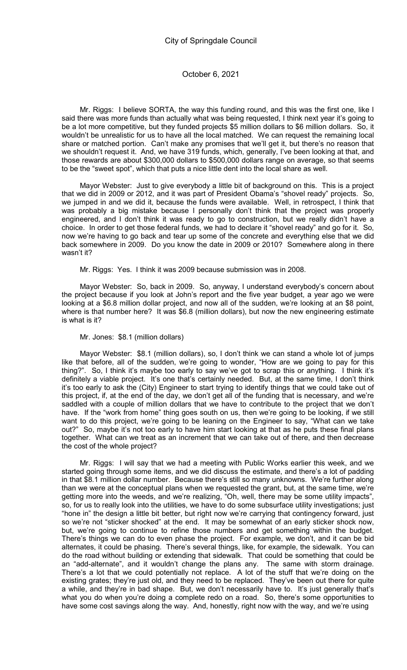Mr. Riggs: I believe SORTA, the way this funding round, and this was the first one, like I said there was more funds than actually what was being requested, I think next year it's going to be a lot more competitive, but they funded projects \$5 million dollars to \$6 million dollars. So, it wouldn't be unrealistic for us to have all the local matched. We can request the remaining local share or matched portion. Can't make any promises that we'll get it, but there's no reason that we shouldn't request it. And, we have 319 funds, which, generally, I've been looking at that, and those rewards are about \$300,000 dollars to \$500,000 dollars range on average, so that seems to be the "sweet spot", which that puts a nice little dent into the local share as well.

Mayor Webster: Just to give everybody a little bit of background on this. This is a project that we did in 2009 or 2012, and it was part of President Obama's "shovel ready" projects. So, we jumped in and we did it, because the funds were available. Well, in retrospect, I think that was probably a big mistake because I personally don't think that the project was properly engineered, and I don't think it was ready to go to construction, but we really didn't have a choice. In order to get those federal funds, we had to declare it "shovel ready" and go for it. So, now we're having to go back and tear up some of the concrete and everything else that we did back somewhere in 2009. Do you know the date in 2009 or 2010? Somewhere along in there wasn't it?

Mr. Riggs: Yes. I think it was 2009 because submission was in 2008.

Mayor Webster: So, back in 2009. So, anyway, I understand everybody's concern about the project because if you look at John's report and the five year budget, a year ago we were looking at a \$6.8 million dollar project, and now all of the sudden, we're looking at an \$8 point, where is that number here? It was \$6.8 (million dollars), but now the new engineering estimate is what is it?

#### Mr. Jones: \$8.1 (million dollars)

Mayor Webster: \$8.1 (million dollars), so, I don't think we can stand a whole lot of jumps like that before, all of the sudden, we're going to wonder, "How are we going to pay for this thing?". So, I think it's maybe too early to say we've got to scrap this or anything. I think it's definitely a viable project. It's one that's certainly needed. But, at the same time, I don't think it's too early to ask the (City) Engineer to start trying to identify things that we could take out of this project, if, at the end of the day, we don't get all of the funding that is necessary, and we're saddled with a couple of million dollars that we have to contribute to the project that we don't have. If the "work from home" thing goes south on us, then we're going to be looking, if we still want to do this project, we're going to be leaning on the Engineer to say, "What can we take out?" So, maybe it's not too early to have him start looking at that as he puts these final plans together. What can we treat as an increment that we can take out of there, and then decrease the cost of the whole project?

Mr. Riggs: I will say that we had a meeting with Public Works earlier this week, and we started going through some items, and we did discuss the estimate, and there's a lot of padding in that \$8.1 million dollar number. Because there's still so many unknowns. We're further along than we were at the conceptual plans when we requested the grant, but, at the same time, we're getting more into the weeds, and we're realizing, "Oh, well, there may be some utility impacts", so, for us to really look into the utilities, we have to do some subsurface utility investigations; just "hone in" the design a little bit better, but right now we're carrying that contingency forward, just so we're not "sticker shocked" at the end. It may be somewhat of an early sticker shock now, but, we're going to continue to refine those numbers and get something within the budget. There's things we can do to even phase the project. For example, we don't, and it can be bid alternates, it could be phasing. There's several things, like, for example, the sidewalk. You can do the road without building or extending that sidewalk. That could be something that could be an "add-alternate", and it wouldn't change the plans any. The same with storm drainage. There's a lot that we could potentially not replace. A lot of the stuff that we're doing on the existing grates; they're just old, and they need to be replaced. They've been out there for quite a while, and they're in bad shape. But, we don't necessarily have to. It's just generally that's what you do when you're doing a complete redo on a road. So, there's some opportunities to have some cost savings along the way. And, honestly, right now with the way, and we're using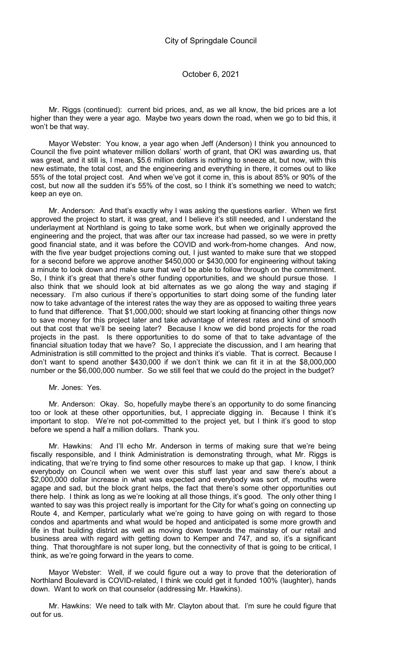Mr. Riggs (continued): current bid prices, and, as we all know, the bid prices are a lot higher than they were a year ago. Maybe two years down the road, when we go to bid this, it won't be that way.

Mayor Webster: You know, a year ago when Jeff (Anderson) I think you announced to Council the five point whatever million dollars' worth of grant, that OKI was awarding us, that was great, and it still is, I mean, \$5.6 million dollars is nothing to sneeze at, but now, with this new estimate, the total cost, and the engineering and everything in there, it comes out to like 55% of the total project cost. And when we've got it come in, this is about 85% or 90% of the cost, but now all the sudden it's 55% of the cost, so I think it's something we need to watch; keep an eye on.

Mr. Anderson: And that's exactly why I was asking the questions earlier. When we first approved the project to start, it was great, and I believe it's still needed, and I understand the underlayment at Northland is going to take some work, but when we originally approved the engineering and the project, that was after our tax increase had passed, so we were in pretty good financial state, and it was before the COVID and work-from-home changes. And now, with the five year budget projections coming out, I just wanted to make sure that we stopped for a second before we approve another \$450,000 or \$430,000 for engineering without taking a minute to look down and make sure that we'd be able to follow through on the commitment. So, I think it's great that there's other funding opportunities, and we should pursue those. I also think that we should look at bid alternates as we go along the way and staging if necessary. I'm also curious if there's opportunities to start doing some of the funding later now to take advantage of the interest rates the way they are as opposed to waiting three years to fund that difference. That \$1,000,000; should we start looking at financing other things now to save money for this project later and take advantage of interest rates and kind of smooth out that cost that we'll be seeing later? Because I know we did bond projects for the road projects in the past. Is there opportunities to do some of that to take advantage of the financial situation today that we have? So, I appreciate the discussion, and I am hearing that Administration is still committed to the project and thinks it's viable. That is correct. Because I don't want to spend another \$430,000 if we don't think we can fit it in at the \$8,000,000 number or the \$6,000,000 number. So we still feel that we could do the project in the budget?

### Mr. Jones: Yes.

Mr. Anderson: Okay. So, hopefully maybe there's an opportunity to do some financing too or look at these other opportunities, but, I appreciate digging in. Because I think it's important to stop. We're not pot-committed to the project yet, but I think it's good to stop before we spend a half a million dollars. Thank you.

Mr. Hawkins: And I'll echo Mr. Anderson in terms of making sure that we're being fiscally responsible, and I think Administration is demonstrating through, what Mr. Riggs is indicating, that we're trying to find some other resources to make up that gap. I know, I think everybody on Council when we went over this stuff last year and saw there's about a \$2,000,000 dollar increase in what was expected and everybody was sort of, mouths were agape and sad, but the block grant helps, the fact that there's some other opportunities out there help. I think as long as we're looking at all those things, it's good. The only other thing I wanted to say was this project really is important for the City for what's going on connecting up Route 4, and Kemper, particularly what we're going to have going on with regard to those condos and apartments and what would be hoped and anticipated is some more growth and life in that building district as well as moving down towards the mainstay of our retail and business area with regard with getting down to Kemper and 747, and so, it's a significant thing. That thoroughfare is not super long, but the connectivity of that is going to be critical, I think, as we're going forward in the years to come.

Mayor Webster: Well, if we could figure out a way to prove that the deterioration of Northland Boulevard is COVID-related, I think we could get it funded 100% (laughter), hands down. Want to work on that counselor (addressing Mr. Hawkins).

Mr. Hawkins: We need to talk with Mr. Clayton about that. I'm sure he could figure that out for us.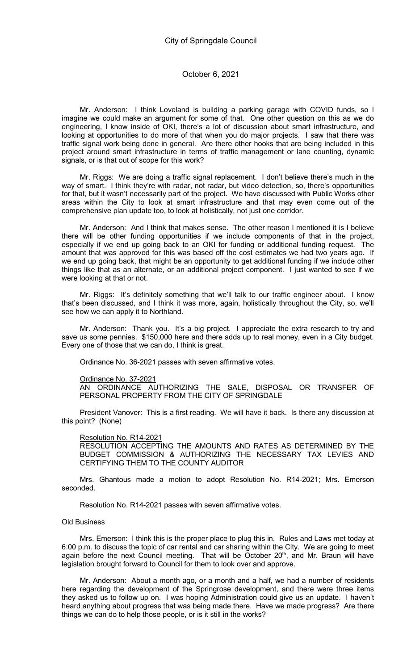Mr. Anderson: I think Loveland is building a parking garage with COVID funds, so I imagine we could make an argument for some of that. One other question on this as we do engineering, I know inside of OKI, there's a lot of discussion about smart infrastructure, and looking at opportunities to do more of that when you do major projects. I saw that there was traffic signal work being done in general. Are there other hooks that are being included in this project around smart infrastructure in terms of traffic management or lane counting, dynamic signals, or is that out of scope for this work?

Mr. Riggs: We are doing a traffic signal replacement. I don't believe there's much in the way of smart. I think they're with radar, not radar, but video detection, so, there's opportunities for that, but it wasn't necessarily part of the project. We have discussed with Public Works other areas within the City to look at smart infrastructure and that may even come out of the comprehensive plan update too, to look at holistically, not just one corridor.

Mr. Anderson: And I think that makes sense. The other reason I mentioned it is I believe there will be other funding opportunities if we include components of that in the project, especially if we end up going back to an OKI for funding or additional funding request. The amount that was approved for this was based off the cost estimates we had two years ago. If we end up going back, that might be an opportunity to get additional funding if we include other things like that as an alternate, or an additional project component. I just wanted to see if we were looking at that or not.

Mr. Riggs: It's definitely something that we'll talk to our traffic engineer about. I know that's been discussed, and I think it was more, again, holistically throughout the City, so, we'll see how we can apply it to Northland.

Mr. Anderson: Thank you. It's a big project. I appreciate the extra research to try and save us some pennies. \$150,000 here and there adds up to real money, even in a City budget. Every one of those that we can do, I think is great.

Ordinance No. 36-2021 passes with seven affirmative votes.

#### Ordinance No. 37-2021

AN ORDINANCE AUTHORIZING THE SALE, DISPOSAL OR TRANSFER OF PERSONAL PROPERTY FROM THE CITY OF SPRINGDALE

President Vanover: This is a first reading. We will have it back. Is there any discussion at this point? (None)

#### Resolution No. R14-2021

RESOLUTION ACCEPTING THE AMOUNTS AND RATES AS DETERMINED BY THE BUDGET COMMISSION & AUTHORIZING THE NECESSARY TAX LEVIES AND CERTIFYING THEM TO THE COUNTY AUDITOR

Mrs. Ghantous made a motion to adopt Resolution No. R14-2021; Mrs. Emerson seconded.

Resolution No. R14-2021 passes with seven affirmative votes.

#### Old Business

Mrs. Emerson: I think this is the proper place to plug this in. Rules and Laws met today at 6:00 p.m. to discuss the topic of car rental and car sharing within the City. We are going to meet again before the next Council meeting. That will be October 20<sup>th</sup>, and Mr. Braun will have legislation brought forward to Council for them to look over and approve.

Mr. Anderson: About a month ago, or a month and a half, we had a number of residents here regarding the development of the Springrose development, and there were three items they asked us to follow up on. I was hoping Administration could give us an update. I haven't heard anything about progress that was being made there. Have we made progress? Are there things we can do to help those people, or is it still in the works?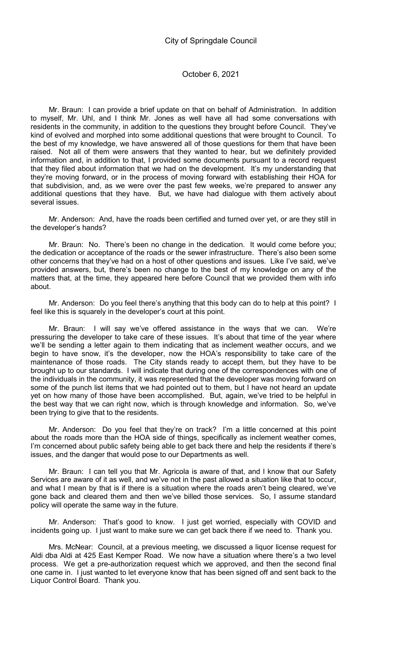Mr. Braun: I can provide a brief update on that on behalf of Administration. In addition to myself, Mr. Uhl, and I think Mr. Jones as well have all had some conversations with residents in the community, in addition to the questions they brought before Council. They've kind of evolved and morphed into some additional questions that were brought to Council. To the best of my knowledge, we have answered all of those questions for them that have been raised. Not all of them were answers that they wanted to hear, but we definitely provided information and, in addition to that, I provided some documents pursuant to a record request that they filed about information that we had on the development. It's my understanding that they're moving forward, or in the process of moving forward with establishing their HOA for that subdivision, and, as we were over the past few weeks, we're prepared to answer any additional questions that they have. But, we have had dialogue with them actively about several issues.

Mr. Anderson: And, have the roads been certified and turned over yet, or are they still in the developer's hands?

Mr. Braun: No. There's been no change in the dedication. It would come before you; the dedication or acceptance of the roads or the sewer infrastructure. There's also been some other concerns that they've had on a host of other questions and issues. Like I've said, we've provided answers, but, there's been no change to the best of my knowledge on any of the matters that, at the time, they appeared here before Council that we provided them with info about.

Mr. Anderson: Do you feel there's anything that this body can do to help at this point? I feel like this is squarely in the developer's court at this point.

Mr. Braun: I will say we've offered assistance in the ways that we can. We're pressuring the developer to take care of these issues. It's about that time of the year where we'll be sending a letter again to them indicating that as inclement weather occurs, and we begin to have snow, it's the developer, now the HOA's responsibility to take care of the maintenance of those roads. The City stands ready to accept them, but they have to be brought up to our standards. I will indicate that during one of the correspondences with one of the individuals in the community, it was represented that the developer was moving forward on some of the punch list items that we had pointed out to them, but I have not heard an update yet on how many of those have been accomplished. But, again, we've tried to be helpful in the best way that we can right now, which is through knowledge and information. So, we've been trying to give that to the residents.

Mr. Anderson: Do you feel that they're on track? I'm a little concerned at this point about the roads more than the HOA side of things, specifically as inclement weather comes, I'm concerned about public safety being able to get back there and help the residents if there's issues, and the danger that would pose to our Departments as well.

Mr. Braun: I can tell you that Mr. Agricola is aware of that, and I know that our Safety Services are aware of it as well, and we've not in the past allowed a situation like that to occur, and what I mean by that is if there is a situation where the roads aren't being cleared, we've gone back and cleared them and then we've billed those services. So, I assume standard policy will operate the same way in the future.

Mr. Anderson: That's good to know. I just get worried, especially with COVID and incidents going up. I just want to make sure we can get back there if we need to. Thank you.

Mrs. McNear: Council, at a previous meeting, we discussed a liquor license request for Aldi dba Aldi at 425 East Kemper Road. We now have a situation where there's a two level process. We get a pre-authorization request which we approved, and then the second final one came in. I just wanted to let everyone know that has been signed off and sent back to the Liquor Control Board. Thank you.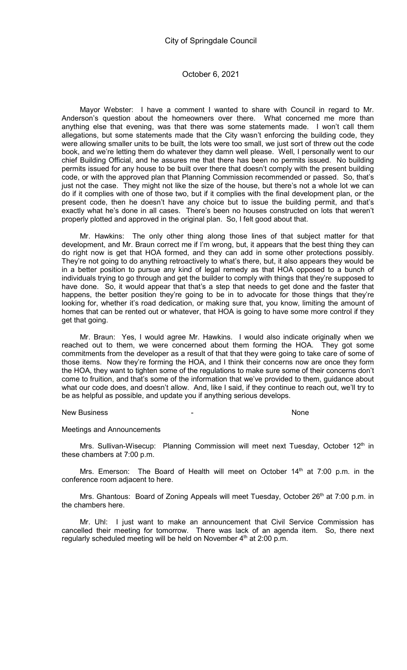Mayor Webster: I have a comment I wanted to share with Council in regard to Mr. Anderson's question about the homeowners over there. What concerned me more than anything else that evening, was that there was some statements made. I won't call them allegations, but some statements made that the City wasn't enforcing the building code, they were allowing smaller units to be built, the lots were too small, we just sort of threw out the code book, and we're letting them do whatever they damn well please. Well, I personally went to our chief Building Official, and he assures me that there has been no permits issued. No building permits issued for any house to be built over there that doesn't comply with the present building code, or with the approved plan that Planning Commission recommended or passed. So, that's just not the case. They might not like the size of the house, but there's not a whole lot we can do if it complies with one of those two, but if it complies with the final development plan, or the present code, then he doesn't have any choice but to issue the building permit, and that's exactly what he's done in all cases. There's been no houses constructed on lots that weren't properly plotted and approved in the original plan. So, I felt good about that.

Mr. Hawkins: The only other thing along those lines of that subject matter for that development, and Mr. Braun correct me if I'm wrong, but, it appears that the best thing they can do right now is get that HOA formed, and they can add in some other protections possibly. They're not going to do anything retroactively to what's there, but, it also appears they would be in a better position to pursue any kind of legal remedy as that HOA opposed to a bunch of individuals trying to go through and get the builder to comply with things that they're supposed to have done. So, it would appear that that's a step that needs to get done and the faster that happens, the better position they're going to be in to advocate for those things that they're looking for, whether it's road dedication, or making sure that, you know, limiting the amount of homes that can be rented out or whatever, that HOA is going to have some more control if they get that going.

Mr. Braun: Yes, I would agree Mr. Hawkins. I would also indicate originally when we reached out to them, we were concerned about them forming the HOA. They got some commitments from the developer as a result of that that they were going to take care of some of those items. Now they're forming the HOA, and I think their concerns now are once they form the HOA, they want to tighten some of the regulations to make sure some of their concerns don't come to fruition, and that's some of the information that we've provided to them, guidance about what our code does, and doesn't allow. And, like I said, if they continue to reach out, we'll try to be as helpful as possible, and update you if anything serious develops.

#### New Business and the contract of the contract of the contract of the contract of the contract of the contract of the contract of the contract of the contract of the contract of the contract of the contract of the contract

#### Meetings and Announcements

Mrs. Sullivan-Wisecup: Planning Commission will meet next Tuesday, October  $12<sup>th</sup>$  in these chambers at 7:00 p.m.

Mrs. Emerson: The Board of Health will meet on October  $14<sup>th</sup>$  at 7:00 p.m. in the conference room adjacent to here.

Mrs. Ghantous: Board of Zoning Appeals will meet Tuesday, October 26<sup>th</sup> at 7:00 p.m. in the chambers here.

Mr. Uhl: I just want to make an announcement that Civil Service Commission has cancelled their meeting for tomorrow. There was lack of an agenda item. So, there next regularly scheduled meeting will be held on November 4<sup>th</sup> at 2:00 p.m.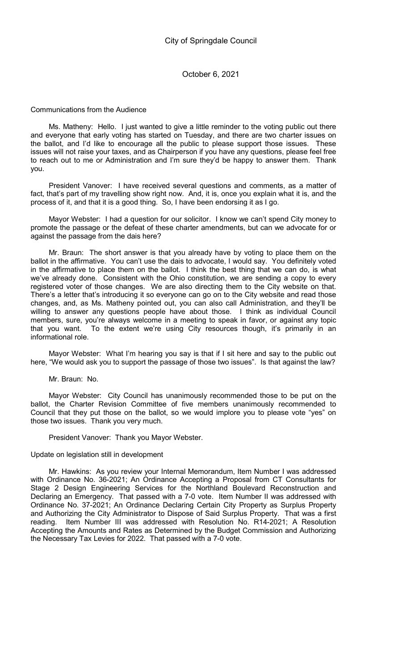### Communications from the Audience

Ms. Matheny: Hello. I just wanted to give a little reminder to the voting public out there and everyone that early voting has started on Tuesday, and there are two charter issues on the ballot, and I'd like to encourage all the public to please support those issues. These issues will not raise your taxes, and as Chairperson if you have any questions, please feel free to reach out to me or Administration and I'm sure they'd be happy to answer them. Thank you.

President Vanover: I have received several questions and comments, as a matter of fact, that's part of my travelling show right now. And, it is, once you explain what it is, and the process of it, and that it is a good thing. So, I have been endorsing it as I go.

Mayor Webster: I had a question for our solicitor. I know we can't spend City money to promote the passage or the defeat of these charter amendments, but can we advocate for or against the passage from the dais here?

Mr. Braun: The short answer is that you already have by voting to place them on the ballot in the affirmative. You can't use the dais to advocate, I would say. You definitely voted in the affirmative to place them on the ballot. I think the best thing that we can do, is what we've already done. Consistent with the Ohio constitution, we are sending a copy to every registered voter of those changes. We are also directing them to the City website on that. There's a letter that's introducing it so everyone can go on to the City website and read those changes, and, as Ms. Matheny pointed out, you can also call Administration, and they'll be willing to answer any questions people have about those. I think as individual Council members, sure, you're always welcome in a meeting to speak in favor, or against any topic that you want. To the extent we're using City resources though, it's primarily in an informational role.

Mayor Webster: What I'm hearing you say is that if I sit here and say to the public out here, "We would ask you to support the passage of those two issues". Is that against the law?

Mr. Braun: No.

Mayor Webster: City Council has unanimously recommended those to be put on the ballot, the Charter Revision Committee of five members unanimously recommended to Council that they put those on the ballot, so we would implore you to please vote "yes" on those two issues. Thank you very much.

President Vanover: Thank you Mayor Webster.

### Update on legislation still in development

Mr. Hawkins: As you review your Internal Memorandum, Item Number I was addressed with Ordinance No. 36-2021; An Ordinance Accepting a Proposal from CT Consultants for Stage 2 Design Engineering Services for the Northland Boulevard Reconstruction and Declaring an Emergency. That passed with a 7-0 vote. Item Number II was addressed with Ordinance No. 37-2021; An Ordinance Declaring Certain City Property as Surplus Property and Authorizing the City Administrator to Dispose of Said Surplus Property. That was a first reading. Item Number III was addressed with Resolution No. R14-2021; A Resolution Accepting the Amounts and Rates as Determined by the Budget Commission and Authorizing the Necessary Tax Levies for 2022. That passed with a 7-0 vote.